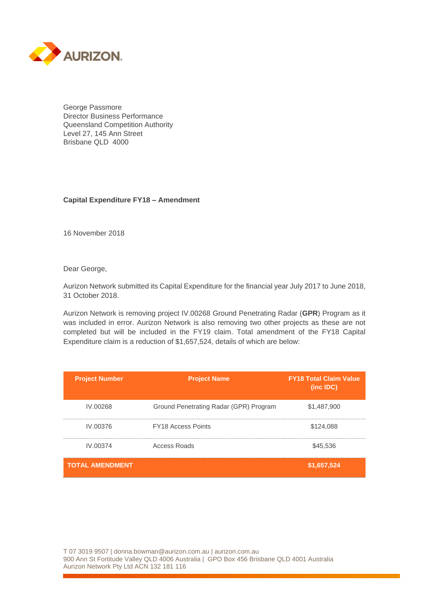

George Passmore Director Business Performance Queensland Competition Authority Level 27, 145 Ann Street Brisbane QLD 4000

## **Capital Expenditure FY18 – Amendment**

16 November 2018

Dear George,

Aurizon Network submitted its Capital Expenditure for the financial year July 2017 to June 2018, 31 October 2018.

Aurizon Network is removing project IV.00268 Ground Penetrating Radar (**GPR**) Program as it was included in error. Aurizon Network is also removing two other projects as these are not completed but will be included in the FY19 claim. Total amendment of the FY18 Capital Expenditure claim is a reduction of \$1,657,524, details of which are below:

| <b>Project Number</b>  | <b>Project Name</b>                    | <b>FY18 Total Claim Value</b><br>$(inc$ IDC $)$ |
|------------------------|----------------------------------------|-------------------------------------------------|
| IV.00268               | Ground Penetrating Radar (GPR) Program | \$1,487,900                                     |
| IV.00376               | <b>FY18 Access Points</b>              | \$124,088                                       |
| IV.00374               | Access Roads                           | \$45,536                                        |
| <b>TOTAL AMENDMENT</b> |                                        | \$1,657,524                                     |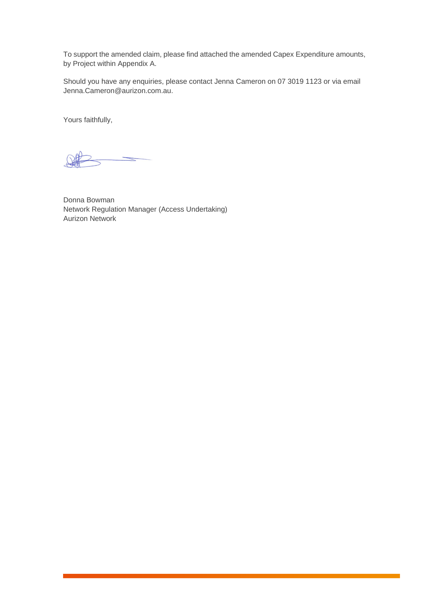To support the amended claim, please find attached the amended Capex Expenditure amounts, by Project within Appendix A.

Should you have any enquiries, please contact Jenna Cameron on 07 3019 1123 or via email Jenna.Cameron@aurizon.com.au.

Yours faithfully,

Donna Bowman Network Regulation Manager (Access Undertaking) Aurizon Network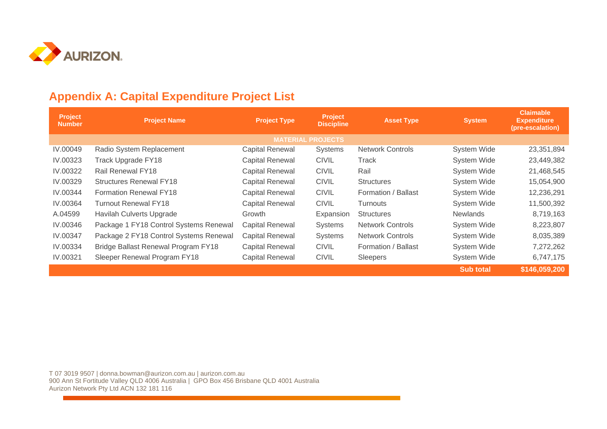

## **Appendix A: Capital Expenditure Project List**

| Project<br><b>Number</b> | <b>Project Name</b>                        | <b>Project Type</b>    | <b>Project</b><br><b>Discipline</b> | <b>Asset Type</b>       | <b>System</b>    | <b>Claimable</b><br><b>Expenditure</b><br>(pre-escalation) |  |
|--------------------------|--------------------------------------------|------------------------|-------------------------------------|-------------------------|------------------|------------------------------------------------------------|--|
| <b>MATERIAL PROJECTS</b> |                                            |                        |                                     |                         |                  |                                                            |  |
| IV.00049                 | Radio System Replacement                   | <b>Capital Renewal</b> | <b>Systems</b>                      | <b>Network Controls</b> | System Wide      | 23,351,894                                                 |  |
| IV.00323                 | Track Upgrade FY18                         | <b>Capital Renewal</b> | <b>CIVIL</b>                        | Track                   | System Wide      | 23,449,382                                                 |  |
| IV.00322                 | Rail Renewal FY18                          | <b>Capital Renewal</b> | <b>CIVIL</b>                        | Rail                    | System Wide      | 21,468,545                                                 |  |
| IV.00329                 | <b>Structures Renewal FY18</b>             | <b>Capital Renewal</b> | <b>CIVIL</b>                        | <b>Structures</b>       | System Wide      | 15,054,900                                                 |  |
| IV.00344                 | <b>Formation Renewal FY18</b>              | <b>Capital Renewal</b> | <b>CIVIL</b>                        | Formation / Ballast     | System Wide      | 12,236,291                                                 |  |
| IV.00364                 | <b>Turnout Renewal FY18</b>                | <b>Capital Renewal</b> | <b>CIVIL</b>                        | <b>Turnouts</b>         | System Wide      | 11,500,392                                                 |  |
| A.04599                  | Havilah Culverts Upgrade                   | Growth                 | Expansion                           | <b>Structures</b>       | <b>Newlands</b>  | 8,719,163                                                  |  |
| IV.00346                 | Package 1 FY18 Control Systems Renewal     | <b>Capital Renewal</b> | Systems                             | <b>Network Controls</b> | System Wide      | 8,223,807                                                  |  |
| IV.00347                 | Package 2 FY18 Control Systems Renewal     | <b>Capital Renewal</b> | <b>Systems</b>                      | <b>Network Controls</b> | System Wide      | 8,035,389                                                  |  |
| IV.00334                 | <b>Bridge Ballast Renewal Program FY18</b> | <b>Capital Renewal</b> | <b>CIVIL</b>                        | Formation / Ballast     | System Wide      | 7,272,262                                                  |  |
| IV.00321                 | Sleeper Renewal Program FY18               | <b>Capital Renewal</b> | <b>CIVIL</b>                        | Sleepers                | System Wide      | 6,747,175                                                  |  |
|                          |                                            |                        |                                     |                         | <b>Sub total</b> | \$146,059,200                                              |  |

T 07 3019 9507 | donna.bowman@aurizon.com.au | aurizon.com.au 900 Ann St Fortitude Valley QLD 4006 Australia | GPO Box 456 Brisbane QLD 4001 Australia Aurizon Network Pty Ltd ACN 132 181 116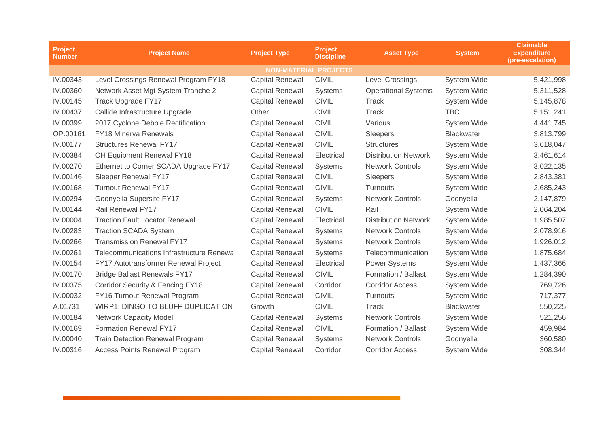| <b>Project</b><br><b>Number</b> | <b>Project Name</b>                         | <b>Project Type</b>    | <b>Project</b><br><b>Discipline</b> | <b>Asset Type</b>           | <b>System</b>      | <b>Claimable</b><br><b>Expenditure</b><br>(pre-escalation) |  |
|---------------------------------|---------------------------------------------|------------------------|-------------------------------------|-----------------------------|--------------------|------------------------------------------------------------|--|
| <b>NON-MATERIAL PROJECTS</b>    |                                             |                        |                                     |                             |                    |                                                            |  |
| IV.00343                        | Level Crossings Renewal Program FY18        | <b>Capital Renewal</b> | <b>CIVIL</b>                        | <b>Level Crossings</b>      | System Wide        | 5,421,998                                                  |  |
| IV.00360                        | Network Asset Mgt System Tranche 2          | <b>Capital Renewal</b> | <b>Systems</b>                      | <b>Operational Systems</b>  | System Wide        | 5,311,528                                                  |  |
| IV.00145                        | Track Upgrade FY17                          | <b>Capital Renewal</b> | <b>CIVIL</b>                        | <b>Track</b>                | System Wide        | 5,145,878                                                  |  |
| IV.00437                        | Callide Infrastructure Upgrade              | Other                  | <b>CIVIL</b>                        | Track                       | <b>TBC</b>         | 5, 151, 241                                                |  |
| IV.00399                        | 2017 Cyclone Debbie Rectification           | <b>Capital Renewal</b> | <b>CIVIL</b>                        | Various                     | System Wide        | 4,441,745                                                  |  |
| OP.00161                        | <b>FY18 Minerva Renewals</b>                | <b>Capital Renewal</b> | <b>CIVIL</b>                        | Sleepers                    | <b>Blackwater</b>  | 3,813,799                                                  |  |
| IV.00177                        | <b>Structures Renewal FY17</b>              | <b>Capital Renewal</b> | <b>CIVIL</b>                        | <b>Structures</b>           | System Wide        | 3,618,047                                                  |  |
| IV.00384                        | OH Equipment Renewal FY18                   | <b>Capital Renewal</b> | Electrical                          | <b>Distribution Network</b> | System Wide        | 3,461,614                                                  |  |
| IV.00270                        | Ethernet to Corner SCADA Upgrade FY17       | <b>Capital Renewal</b> | <b>Systems</b>                      | <b>Network Controls</b>     | System Wide        | 3,022,135                                                  |  |
| IV.00146                        | Sleeper Renewal FY17                        | <b>Capital Renewal</b> | <b>CIVIL</b>                        | Sleepers                    | <b>System Wide</b> | 2,843,381                                                  |  |
| IV.00168                        | <b>Turnout Renewal FY17</b>                 | <b>Capital Renewal</b> | <b>CIVIL</b>                        | Turnouts                    | <b>System Wide</b> | 2,685,243                                                  |  |
| IV.00294                        | Goonyella Supersite FY17                    | <b>Capital Renewal</b> | <b>Systems</b>                      | <b>Network Controls</b>     | Goonyella          | 2,147,879                                                  |  |
| IV.00144                        | <b>Rail Renewal FY17</b>                    | <b>Capital Renewal</b> | <b>CIVIL</b>                        | Rail                        | <b>System Wide</b> | 2,064,204                                                  |  |
| IV.00004                        | <b>Traction Fault Locator Renewal</b>       | <b>Capital Renewal</b> | Electrical                          | <b>Distribution Network</b> | System Wide        | 1,985,507                                                  |  |
| IV.00283                        | <b>Traction SCADA System</b>                | <b>Capital Renewal</b> | <b>Systems</b>                      | <b>Network Controls</b>     | System Wide        | 2,078,916                                                  |  |
| IV.00266                        | <b>Transmission Renewal FY17</b>            | <b>Capital Renewal</b> | <b>Systems</b>                      | <b>Network Controls</b>     | System Wide        | 1,926,012                                                  |  |
| IV.00261                        | Telecommunications Infrastructure Renewa    | <b>Capital Renewal</b> | Systems                             | Telecommunication           | System Wide        | 1,875,684                                                  |  |
| IV.00154                        | FY17 Autotransformer Renewal Project        | <b>Capital Renewal</b> | Electrical                          | <b>Power Systems</b>        | System Wide        | 1,437,366                                                  |  |
| IV.00170                        | <b>Bridge Ballast Renewals FY17</b>         | <b>Capital Renewal</b> | <b>CIVIL</b>                        | Formation / Ballast         | System Wide        | 1,284,390                                                  |  |
| IV.00375                        | <b>Corridor Security &amp; Fencing FY18</b> | <b>Capital Renewal</b> | Corridor                            | <b>Corridor Access</b>      | System Wide        | 769,726                                                    |  |
| IV.00032                        | FY16 Turnout Renewal Program                | <b>Capital Renewal</b> | <b>CIVIL</b>                        | Turnouts                    | System Wide        | 717,377                                                    |  |
| A.01731                         | <b>WIRP1: DINGO TO BLUFF DUPLICATION</b>    | Growth                 | <b>CIVIL</b>                        | Track                       | <b>Blackwater</b>  | 550,225                                                    |  |
| IV.00184                        | <b>Network Capacity Model</b>               | <b>Capital Renewal</b> | Systems                             | <b>Network Controls</b>     | System Wide        | 521,256                                                    |  |
| IV.00169                        | Formation Renewal FY17                      | <b>Capital Renewal</b> | <b>CIVIL</b>                        | Formation / Ballast         | System Wide        | 459,984                                                    |  |
| IV.00040                        | <b>Train Detection Renewal Program</b>      | <b>Capital Renewal</b> | <b>Systems</b>                      | <b>Network Controls</b>     | Goonyella          | 360,580                                                    |  |
| IV.00316                        | <b>Access Points Renewal Program</b>        | <b>Capital Renewal</b> | Corridor                            | <b>Corridor Access</b>      | System Wide        | 308,344                                                    |  |